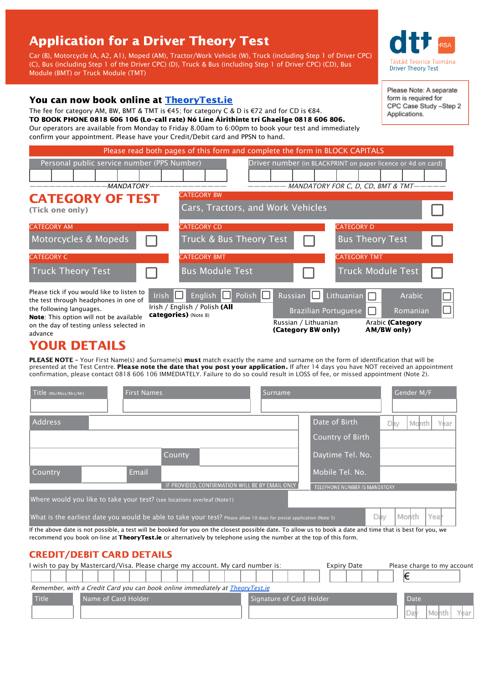# Application for a Driver Theory Test

Car (B), Motorcycle (A, A2, A1), Moped (AM), Tractor/Work Vehicle (W), Truck (including Step 1 of Driver CPC) (C), Bus (including Step 1 of the Driver CPC) (D), Truck & Bus (including Step 1 of Driver CPC) (CD), Bus Module (BMT) or Truck Module (TMT)

### You can now book online at [TheoryTest.ie](https://theorytest.ie/)

The fee for category AM, BW, BMT & TMT is €45; for category C & D is €72 and for CD is €84. TO BOOK PHONE 0818 606 106 (Lo–call rate) Nó Líne Áirithinte trí Ghaeilge 0818 606 806. Our operators are available from Monday to Friday 8.00am to 6:00pm to book your test and immediately confirm your appointment. Please have your Credit/Debit card and PPSN to hand.

Please read both pages of this form and complete the form in BLOCK CAPITALS

| Personal public service number (PPS Number)                                                                                                                                                                       |                                                                                                |                                                                                                 | Driver number (in BLACKPRINT on paper licence or 4d on card) |  |  |  |
|-------------------------------------------------------------------------------------------------------------------------------------------------------------------------------------------------------------------|------------------------------------------------------------------------------------------------|-------------------------------------------------------------------------------------------------|--------------------------------------------------------------|--|--|--|
|                                                                                                                                                                                                                   |                                                                                                |                                                                                                 |                                                              |  |  |  |
| MANDATORY-                                                                                                                                                                                                        |                                                                                                | MANDATORY FOR C. D. CD. BMT & TMT----                                                           |                                                              |  |  |  |
| <b>CATEGORY OF TEST</b><br>(Tick one only)                                                                                                                                                                        | <b>CATEGORY BW</b><br>Cars, Tractors, and Work Vehicles                                        |                                                                                                 |                                                              |  |  |  |
| <b>CATEGORY AM</b>                                                                                                                                                                                                | <b>CATEGORY CD</b>                                                                             |                                                                                                 | <b>CATEGORY D</b>                                            |  |  |  |
| Motorcycles & Mopeds                                                                                                                                                                                              | Truck & Bus Theory Test                                                                        |                                                                                                 | <b>Bus Theory Test</b>                                       |  |  |  |
| <b>CATEGORY C</b>                                                                                                                                                                                                 | <b>CATEGORY BMT</b>                                                                            |                                                                                                 | <b>CATEGORY TMT</b>                                          |  |  |  |
| <b>Truck Theory Test</b>                                                                                                                                                                                          | <b>Bus Module Test</b>                                                                         |                                                                                                 | <b>Truck Module Test</b>                                     |  |  |  |
| Please tick if you would like to listen to<br>the test through headphones in one of<br>the following languages.<br>Note: This option will not be available<br>on the day of testing unless selected in<br>advance | English Polish<br>Irish $\Box$<br>Irish / English / Polish (All<br><b>categories)</b> (Note 8) | Russian Lithuanian<br><b>Brazilian Portuguese</b><br>Russian / Lithuanian<br>(Category BW only) | Arabic<br>Romanian<br>Arabic (Category<br>AM/BW only)        |  |  |  |

## YOUR DETAILS

PLEASE NOTE - Your First Name(s) and Surname(s) must match exactly the name and surname on the form of identification that will be presented at the Test Centre. Please note the date that you post your application. If after 14 days you have NOT received an appointment confirmation, please contact 0818 606 106 IMMEDIATELY. Failure to do so could result in LOSS of fee, or missed appointment (Note 2).

| Title (Ms/Miss/Mrs/Mr)           | <b>First Names</b>                                                                                                                                                                                                                                                                 | <b>Surname</b> |                               | Gender M/F                  |  |
|----------------------------------|------------------------------------------------------------------------------------------------------------------------------------------------------------------------------------------------------------------------------------------------------------------------------------|----------------|-------------------------------|-----------------------------|--|
|                                  |                                                                                                                                                                                                                                                                                    |                |                               |                             |  |
| <b>Address</b>                   |                                                                                                                                                                                                                                                                                    |                | Date of Birth                 | Month<br>Year<br>Dav        |  |
|                                  |                                                                                                                                                                                                                                                                                    |                | Country of Birth              |                             |  |
|                                  | County                                                                                                                                                                                                                                                                             |                | Daytime Tel. No.              |                             |  |
| Country                          | Email                                                                                                                                                                                                                                                                              |                | Mobile Tel. No.               |                             |  |
|                                  | IF PROVIDED, CONFIRMATION WILL BE BY EMAIL ONLY                                                                                                                                                                                                                                    |                | TELEPHONE NUMBER IS MANDATORY |                             |  |
|                                  | Where would you like to take your test? (see locations overleaf (Note1)                                                                                                                                                                                                            |                |                               |                             |  |
|                                  | What is the earliest date you would be able to take your test? Please allow 10 days for postal application (Note 5)                                                                                                                                                                |                |                               | Month<br>Yea<br>Dav.        |  |
|                                  | If the above date is not possible, a test will be booked for you on the closest possible date. To allow us to book a date and time that is best for you, we<br>recommend you book on-line at TheoryTest.ie or alternatively by telephone using the number at the top of this form. |                |                               |                             |  |
| <b>CREDIT/DEBIT CARD DETAILS</b> |                                                                                                                                                                                                                                                                                    |                |                               |                             |  |
|                                  | I wish to pay by Mastercard/Visa. Please charge my account. My card number is:                                                                                                                                                                                                     |                | <b>Expiry Date</b>            | Please charge to my account |  |

#### € Remember, with a Credit Card you can book online immediately at **[TheoryTest.ie](https://theorytest.ie/)** Title **Name of Card Holder State Card Holder State Card Holder State Card Holder Date** Day Mo



Please Note: A separate form is required for CPC Case Study -Step 2 Applications.